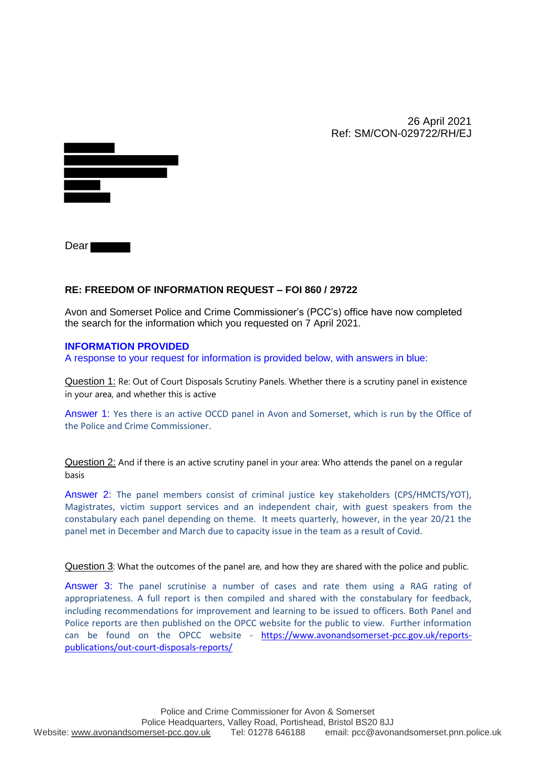26 April 2021 Ref: SM/CON-029722/RH/EJ



Dear<sup>1</sup>

## **RE: FREEDOM OF INFORMATION REQUEST – FOI 860 / 29722**

Avon and Somerset Police and Crime Commissioner's (PCC's) office have now completed the search for the information which you requested on 7 April 2021.

## **INFORMATION PROVIDED**

A response to your request for information is provided below, with answers in blue:

Question 1: Re: Out of Court Disposals Scrutiny Panels. Whether there is a scrutiny panel in existence in your area, and whether this is active

Answer 1: Yes there is an active OCCD panel in Avon and Somerset, which is run by the Office of the Police and Crime Commissioner.

Question 2: And if there is an active scrutiny panel in your area: Who attends the panel on a regular basis

Answer 2: The panel members consist of criminal justice key stakeholders (CPS/HMCTS/YOT), Magistrates, victim support services and an independent chair, with guest speakers from the constabulary each panel depending on theme. It meets quarterly, however, in the year 20/21 the panel met in December and March due to capacity issue in the team as a result of Covid.

Question 3: What the outcomes of the panel are, and how they are shared with the police and public.

Answer 3: The panel scrutinise a number of cases and rate them using a RAG rating of appropriateness. A full report is then compiled and shared with the constabulary for feedback, including recommendations for improvement and learning to be issued to officers. Both Panel and Police reports are then published on the OPCC website for the public to view. Further information can be found on the OPCC website - https://www.avonandsomerset-pcc.gov.uk/reportspublications/out-court-disposals-reports/